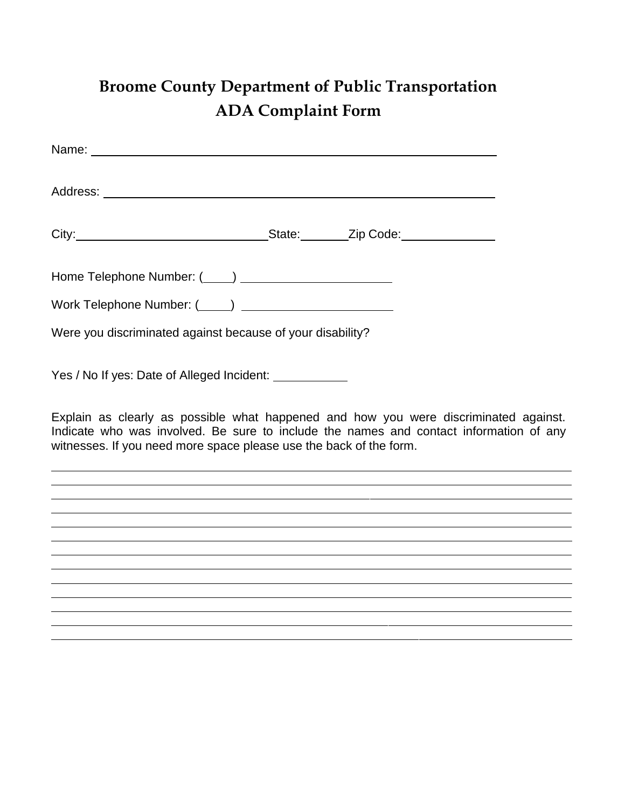## **Broome County Department of Public Transportation ADA Complaint Form**

| Name: Name:                                                                                                                                                                                                                                          |  |
|------------------------------------------------------------------------------------------------------------------------------------------------------------------------------------------------------------------------------------------------------|--|
|                                                                                                                                                                                                                                                      |  |
|                                                                                                                                                                                                                                                      |  |
|                                                                                                                                                                                                                                                      |  |
|                                                                                                                                                                                                                                                      |  |
| Were you discriminated against because of your disability?                                                                                                                                                                                           |  |
| Yes / No If yes: Date of Alleged Incident: ____________                                                                                                                                                                                              |  |
| Explain as clearly as possible what happened and how you were discriminated against.<br>Indicate who was involved. Be sure to include the names and contact information of any<br>witnesses. If you need more space please use the back of the form. |  |
|                                                                                                                                                                                                                                                      |  |
| ,我们也不能会在这里,我们也不能会在这里,我们也不能会在这里,我们也不能会在这里,我们也不能会在这里,我们也不能会在这里,我们也不能会不能会不能会。""我们,我们                                                                                                                                                                    |  |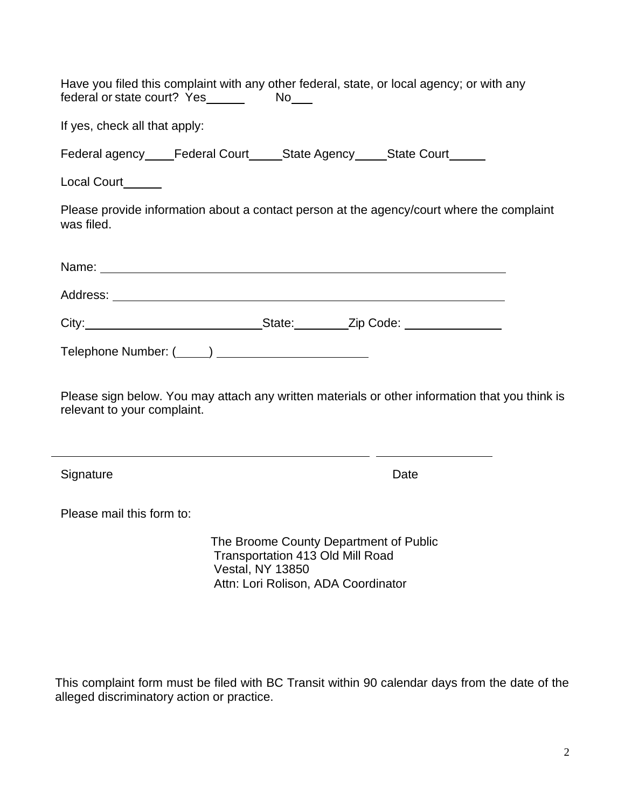| Have you filed this complaint with any other federal, state, or local agency; or with any                                                                                                                                     |  |
|-------------------------------------------------------------------------------------------------------------------------------------------------------------------------------------------------------------------------------|--|
| If yes, check all that apply:                                                                                                                                                                                                 |  |
| Federal agency_____Federal Court______State Agency______State Court_______                                                                                                                                                    |  |
| Local Court______                                                                                                                                                                                                             |  |
| Please provide information about a contact person at the agency/court where the complaint<br>was filed.                                                                                                                       |  |
| Name: Name: Name: Name: Name: Name: Name: Name: Name: Name: Name: Name: Name: Name: Name: Name: Name: Name: Name: Name: Name: Name: Name: Name: Name: Name: Name: Name: Name: Name: Name: Name: Name: Name: Name: Name: Name: |  |
|                                                                                                                                                                                                                               |  |
|                                                                                                                                                                                                                               |  |
|                                                                                                                                                                                                                               |  |
| Please sign below. You may attach any written materials or other information that you think is<br>relevant to your complaint.                                                                                                 |  |
| <u> 1989 - Johann Harry Harry Harry Harry Harry Harry Harry Harry Harry Harry Harry Harry Harry Harry Harry Harry</u><br>Signature<br>Date                                                                                    |  |
| Please mail this form to:                                                                                                                                                                                                     |  |
| The Broome County Department of Public<br><b>Transportation 413 Old Mill Road</b><br><b>Vestal, NY 13850</b><br>Attn: Lori Rolison, ADA Coordinator                                                                           |  |

This complaint form must be filed with BC Transit within 90 calendar days from the date of the alleged discriminatory action or practice.